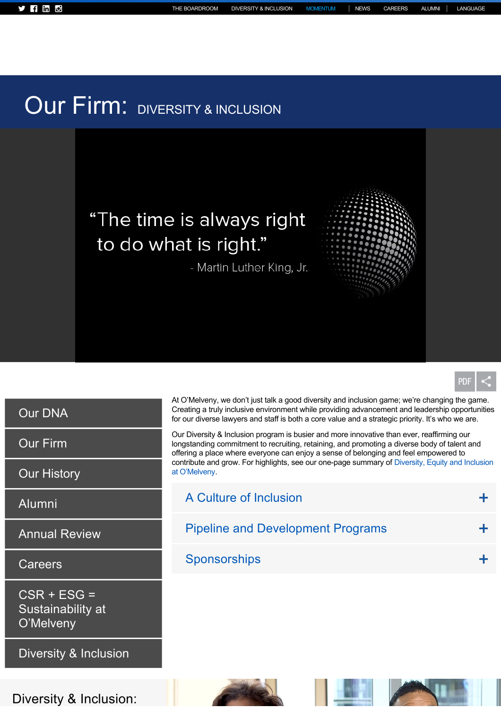## Our Firm: DIVERSITY & INCLUSION

## "The time is always right to do what is right."

- Martin Luther King, Jr.





[Our DNA](https://www.omm.com/dna)

[Our Firm](https://www.omm.com/our-firm)

[Our History](https://www.omm.com/our-firm/history)

[Alumni](https://www.omm.com/alumni)

[Annual Review](https://www.omm.com/annual-report)

**[Careers](https://www.omm.com/careers)** 

CSR + ESG = [Sustainability at](https://www.omm.com/sustainability) O'Melveny

[Diversity & Inclusion](https://www.omm.com/our-firm/diversity-and-inclusion)

Diversity & Inclusion:

At O'Melveny, we don't just talk a good diversity and inclusion game; we're changing the game. Creating a truly inclusive environment while providing advancement and leadership opportunities for our diverse lawyers and staff is both a core value and a strategic priority. It's who we are.

Our Diversity & Inclusion program is busier and more innovative than ever, reaffirming our longstanding commitment to recruiting, retaining, and promoting a diverse body of talent and offering a place where everyone can enjoy a sense of belonging and feel empowered to contribute and grow. For highlights, see our one-page summary of Diversity, Equity and Inclusion at O'Melveny.

| A Culture of Inclusion                   |  |
|------------------------------------------|--|
| <b>Pipeline and Development Programs</b> |  |
| Sponsorships                             |  |